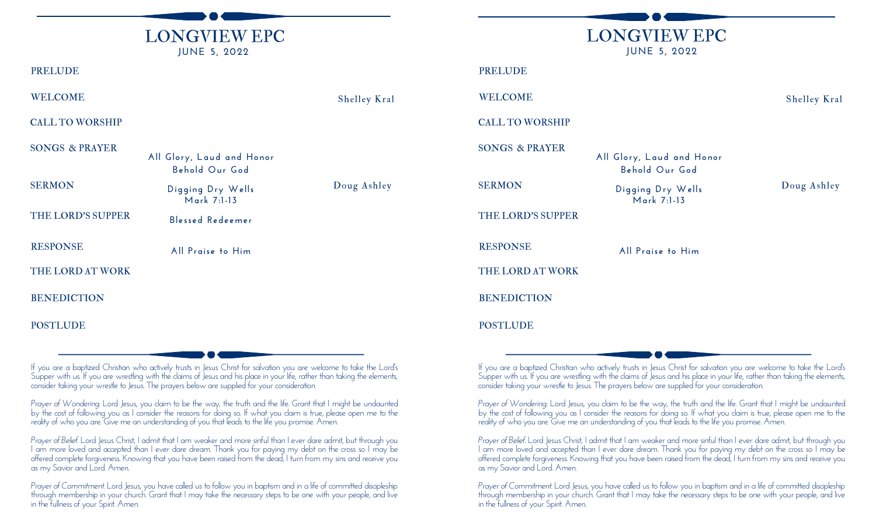

#### PRELUDE

WELCOME Shelley Kral

CALL TO WORSHIP

**BENEDICTION** POSTLUDE THE LORD AT WORK SERMON Digging Dry Wells **Doug Ashley Mark 7:1-13** SONGS & PRAYER **Al l Glory, Laud and Honor Behold Our God** RESPONSE **Al l Praise to Him** THE LORD'S SUPPER **Blessed Redeemer**

If you are a baptized Christian who actively trusts in Jesus Christ for salvation you are welcome to take the Lord's Supper with us. If you are wrestling with the claims of Jesus and his place in your life, rather than taking the elements, consider taking your wrestle to Jesus. The prayers below are supplied for your consideration.

*Prayer of Wondering.* Lord Jesus, you claim to be the way, the truth and the life. Grant that I might be undaunted by the cost of following you as I consider the reasons for doing so. If what you claim is true, please open me to the reality of who you are. Give me an understanding of you that leads to the life you promise. Amen.

*Prayer of Belief.* Lord Jesus Christ, I admit that I am weaker and more sinful than I ever dare admit, but through you I am more loved and accepted than I ever dare dream. Thank you for paying my debt on the cross so I may be offered complete forgiveness. Knowing that you have been raised from the dead, I turn from my sins and receive you as my Savior and Lord. Amen.

*Prayer* of Commitment. Lord Jesus, you have called us to follow you in baptism and in a life of committed discipleship through membership in your church. Grant that I may take the necessary steps to be one with your people, and live in the fullness of your Spirit. Amen.

LONGVIEW EPC **JUNE 5, 2022 BENEDICTION** THE LORD AT WORK SERMON Digging Dry Wells Doug Ashley **Mark 7:1-13** SONGS & PRAYER **Al l Glory, Laud and Honor Behold Our God** WELCOME Shelley Kral PRELUDE CALL TO WORSHIP RESPONSE **Al l Praise to Him** THE LORD'S SUPPER

POSTLUDE

If you are a baptized Christian who actively trusts in Jesus Christ for salvation you are welcome to take the Lord's Supper with us. If you are wrestling with the claims of Jesus and his place in your life, rather than taking the elements, consider taking your wrestle to Jesus. The prayers below are supplied for your consideration.

*Prayer of Wondering.* Lord Jesus, you claim to be the way, the truth and the life. Grant that I might be undaunted by the cost of following you as I consider the reasons for doing so. If what you claim is true, please open me to the reality of who you are. Give me an understanding of you that leads to the life you promise. Amen.

*Prayer of Belief.* Lord Jesus Christ, I admit that I am weaker and more sinful than I ever dare admit, but through you I am more loved and accepted than I ever dare dream. Thank you for paying my debt on the cross so I may be offered complete forgiveness. Knowing that you have been raised from the dead, I turn from my sins and receive you as my Savior and Lord. Amen.

*Prayer of Commitment.* Lord Jesus, you have called us to follow you in baptism and in a life of committed discipleship through membership in your church. Grant that I may take the necessary steps to be one with your people, and live in the fullness of your Spirit. Amen.